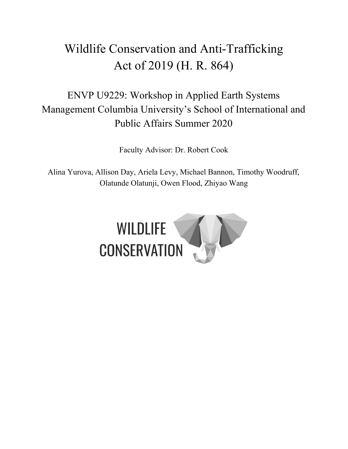# Wildlife Conservation and Anti-Trafficking Act of 2019 (H. R. 864)

## ENVP U9229: Workshop in Applied Earth Systems Management Columbia University's School of International and Public Affairs Summer 2020

Faculty Advisor: Dr. Robert Cook

Alina Yurova, Allison Day, Ariela Levy, Michael Bannon, Timothy Woodruff, Olatunde Olatunji, Owen Flood, Zhiyao Wang

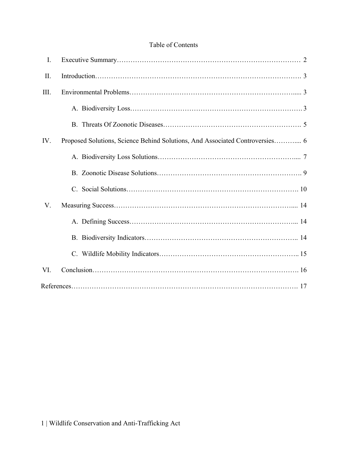## Table of Contents

| I.   |                                                                              |
|------|------------------------------------------------------------------------------|
| II.  |                                                                              |
| III. |                                                                              |
|      |                                                                              |
|      |                                                                              |
| IV.  | Proposed Solutions, Science Behind Solutions, And Associated Controversies 6 |
|      |                                                                              |
|      |                                                                              |
|      |                                                                              |
| V.   |                                                                              |
|      |                                                                              |
|      |                                                                              |
|      |                                                                              |
| VI.  |                                                                              |
|      |                                                                              |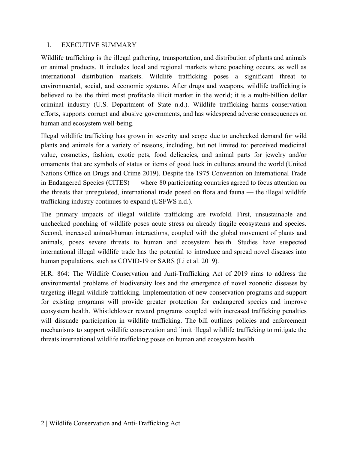#### <span id="page-2-0"></span>I. EXECUTIVE SUMMARY

Wildlife trafficking is the illegal gathering, transportation, and distribution of plants and animals or animal products. It includes local and regional markets where poaching occurs, as well as international distribution markets. Wildlife trafficking poses a significant threat to environmental, social, and economic systems. After drugs and weapons, wildlife trafficking is believed to be the third most profitable illicit market in the world; it is a multi-billion dollar criminal industry (U.S. Department of State n.d.). Wildlife trafficking harms conservation efforts, supports corrupt and abusive governments, and has widespread adverse consequences on human and ecosystem well-being.

Illegal wildlife trafficking has grown in severity and scope due to unchecked demand for wild plants and animals for a variety of reasons, including, but not limited to: perceived medicinal value, cosmetics, fashion, exotic pets, food delicacies, and animal parts for jewelry and/or ornaments that are symbols of status or items of good luck in cultures around the world (United Nations Office on Drugs and Crime 2019). Despite the 1975 Convention on International Trade in Endangered Species (CITES) — where 80 participating countries agreed to focus attention on the threats that unregulated, international trade posed on flora and fauna — the illegal wildlife trafficking industry continues to expand (USFWS n.d.).

The primary impacts of illegal wildlife trafficking are twofold. First, unsustainable and unchecked poaching of wildlife poses acute stress on already fragile ecosystems and species. Second, increased animal-human interactions, coupled with the global movement of plants and animals, poses severe threats to human and ecosystem health. Studies have suspected international illegal wildlife trade has the potential to introduce and spread novel diseases into human populations, such as COVID-19 or SARS (Li et al. 2019).

H.R. 864: The Wildlife Conservation and Anti-Trafficking Act of 2019 aims to address the environmental problems of biodiversity loss and the emergence of novel zoonotic diseases by targeting illegal wildlife trafficking. Implementation of new conservation programs and support for existing programs will provide greater protection for endangered species and improve ecosystem health. Whistleblower reward programs coupled with increased trafficking penalties will dissuade participation in wildlife trafficking. The bill outlines policies and enforcement mechanisms to support wildlife conservation and limit illegal wildlife trafficking to mitigate the threats international wildlife trafficking poses on human and ecosystem health.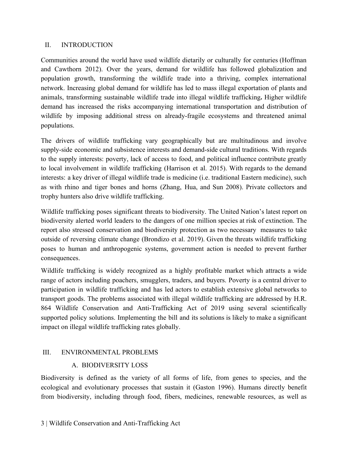#### <span id="page-3-0"></span>II. INTRODUCTION

Communities around the world have used wildlife dietarily or culturally for centuries (Hoffman and Cawthorn 2012). Over the years, demand for wildlife has followed globalization and population growth, transforming the wildlife trade into a thriving, complex international network. Increasing global demand for wildlife has led to mass illegal exportation of plants and animals, transforming sustainable wildlife trade into illegal wildlife trafficking**.** Higher wildlife demand has increased the risks accompanying international transportation and distribution of wildlife by imposing additional stress on already-fragile ecosystems and threatened animal populations.

The drivers of wildlife trafficking vary geographically but are multitudinous and involve supply-side economic and subsistence interests and demand-side cultural traditions. With regards to the supply interests: poverty, lack of access to food, and political influence contribute greatly to local involvement in wildlife trafficking (Harrison et al. 2015). With regards to the demand interests: a key driver of illegal wildlife trade is medicine (i.e. traditional Eastern medicine), such as with rhino and tiger bones and horns (Zhang, Hua, and Sun 2008). Private collectors and trophy hunters also drive wildlife trafficking.

Wildlife trafficking poses significant threats to biodiversity. The United Nation's latest report on biodiversity alerted world leaders to the dangers of one million species at risk of extinction. The report also stressed conservation and biodiversity protection as two necessary measures to take outside of reversing climate change (Brondizo et al. 2019). Given the threats wildlife trafficking poses to human and anthropogenic systems, government action is needed to prevent further consequences.

Wildlife trafficking is widely recognized as a highly profitable market which attracts a wide range of actors including poachers, smugglers, traders, and buyers. Poverty is a central driver to participation in wildlife trafficking and has led actors to establish extensive global networks to transport goods. The problems associated with illegal wildlife trafficking are addressed by H.R. 864 Wildlife Conservation and Anti-Trafficking Act of 2019 using several scientifically supported policy solutions. Implementing the bill and its solutions is likely to make a significant impact on illegal wildlife trafficking rates globally.

#### <span id="page-3-2"></span><span id="page-3-1"></span>III. ENVIRONMENTAL PROBLEMS

## A. BIODIVERSITY LOSS

Biodiversity is defined as the variety of all forms of life, from genes to species, and the ecological and evolutionary processes that sustain it (Gaston 1996). Humans directly benefit from biodiversity, including through food, fibers, medicines, renewable resources, as well as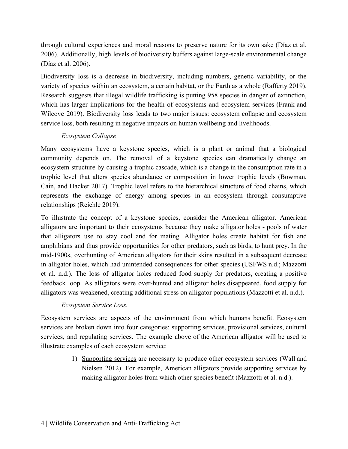through cultural experiences and moral reasons to preserve nature for its own sake (Díaz et al. 2006). Additionally, high levels of biodiversity buffers against large-scale environmental change (Díaz et al. 2006).

Biodiversity loss is a decrease in biodiversity, including numbers, genetic variability, or the variety of species within an ecosystem, a certain habitat, or the Earth as a whole (Rafferty 2019). Research suggests that illegal wildlife trafficking is putting 958 species in danger of extinction, which has larger implications for the health of ecosystems and ecosystem services (Frank and Wilcove 2019). Biodiversity loss leads to two major issues: ecosystem collapse and ecosystem service loss, both resulting in negative impacts on human wellbeing and livelihoods.

## *Ecosystem Collapse*

Many ecosystems have a keystone species, which is a plant or animal that a biological community depends on. The removal of a keystone species can dramatically change an ecosystem structure by causing a trophic cascade, which is a change in the consumption rate in a trophic level that alters species abundance or composition in lower trophic levels (Bowman, Cain, and Hacker 2017). Trophic level refers to the hierarchical structure of food chains, which represents the exchange of energy among species in an ecosystem through consumptive relationships (Reichle 2019).

To illustrate the concept of a keystone species, consider the American alligator. American alligators are important to their ecosystems because they make alligator holes - pools of water that alligators use to stay cool and for mating. Alligator holes create habitat for fish and amphibians and thus provide opportunities for other predators, such as birds, to hunt prey. In the mid-1900s, overhunting of American alligators for their skins resulted in a subsequent decrease in alligator holes, which had unintended consequences for other species (USFWS n.d.; Mazzotti et al. n.d.). The loss of alligator holes reduced food supply for predators, creating a positive feedback loop. As alligators were over-hunted and alligator holes disappeared, food supply for alligators was weakened, creating additional stress on alligator populations (Mazzotti et al. n.d.).

## *Ecosystem Service Loss.*

Ecosystem services are aspects of the environment from which humans benefit. Ecosystem services are broken down into four categories: supporting services, provisional services, cultural services, and regulating services. The example above of the American alligator will be used to illustrate examples of each ecosystem service:

> 1) Supporting services are necessary to produce other ecosystem services (Wall and Nielsen 2012). For example, American alligators provide supporting services by making alligator holes from which other species benefit (Mazzotti et al. n.d.).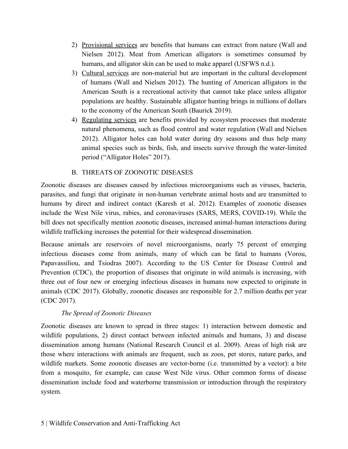- 2) Provisional services are benefits that humans can extract from nature (Wall and Nielsen 2012). Meat from American alligators is sometimes consumed by humans, and alligator skin can be used to make apparel (USFWS n.d.).
- 3) Cultural services are non-material but are important in the cultural development of humans (Wall and Nielsen 2012). The hunting of American alligators in the American South is a recreational activity that cannot take place unless alligator populations are healthy. Sustainable alligator hunting brings in millions of dollars to the economy of the American South (Baurick 2019).
- 4) Regulating services are benefits provided by ecosystem processes that moderate natural phenomena, such as flood control and water regulation (Wall and Nielsen 2012). Alligator holes can hold water during dry seasons and thus help many animal species such as birds, fish, and insects survive through the water-limited period ("Alligator Holes" 2017).

## B. THREATS OF ZOONOTIC DISEASES

<span id="page-5-0"></span>Zoonotic diseases are diseases caused by infectious microorganisms such as viruses, bacteria, parasites, and fungi that originate in non-human vertebrate animal hosts and are transmitted to humans by direct and indirect contact (Karesh et al. 2012). Examples of zoonotic diseases include the West Nile virus, rabies, and coronaviruses (SARS, MERS, COVID-19). While the bill does not specifically mention zoonotic diseases, increased animal-human interactions during wildlife trafficking increases the potential for their widespread dissemination.

Because animals are reservoirs of novel microorganisms, nearly 75 percent of emerging infectious diseases come from animals, many of which can be fatal to humans (Vorou, Papavassiliou, and Tsiodras 2007). According to the US Center for Disease Control and Prevention (CDC), the proportion of diseases that originate in wild animals is increasing, with three out of four new or emerging infectious diseases in humans now expected to originate in animals (CDC 2017). Globally, zoonotic diseases are responsible for 2.7 million deaths per year (CDC 2017).

## *The Spread of Zoonotic Diseases*

Zoonotic diseases are known to spread in three stages: 1) interaction between domestic and wildlife populations, 2) direct contact between infected animals and humans, 3) and disease dissemination among humans (National Research Council et al. 2009). Areas of high risk are those where interactions with animals are frequent, such as zoos, pet stores, nature parks, and wildlife markets. Some zoonotic diseases are vector-borne (i.e. transmitted by a vector): a bite from a mosquito, for example, can cause West Nile virus. Other common forms of disease dissemination include food and waterborne transmission or introduction through the respiratory system.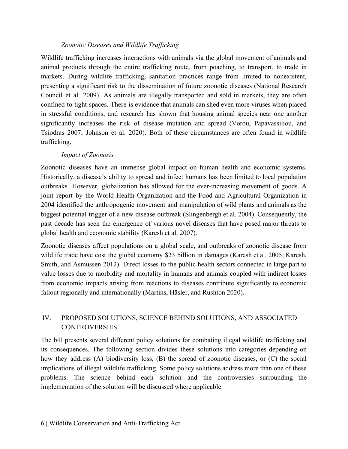#### *Zoonotic Diseases and Wildlife Trafficking*

Wildlife trafficking increases interactions with animals via the global movement of animals and animal products through the entire trafficking route, from poaching, to transport, to trade in markets. During wildlife trafficking, sanitation practices range from limited to nonexistent, presenting a significant risk to the dissemination of future zoonotic diseases (National Research Council et al. 2009). As animals are illegally transported and sold in markets, they are often confined to tight spaces. There is evidence that animals can shed even more viruses when placed in stressful conditions, and research has shown that housing animal species near one another significantly increases the risk of disease mutation and spread (Vorou, Papavassiliou, and Tsiodras 2007; Johnson et al. 2020). Both of these circumstances are often found in wildlife trafficking.

#### *Impact of Zoonosis*

Zoonotic diseases have an immense global impact on human health and economic systems. Historically, a disease's ability to spread and infect humans has been limited to local population outbreaks. However, globalization has allowed for the ever-increasing movement of goods. A joint report by the World Health Organization and the Food and Agricultural Organization in 2004 identified the anthropogenic movement and manipulation of wild plants and animals as the biggest potential trigger of a new disease outbreak (Slingenbergh et al. 2004). Consequently, the past decade has seen the emergence of various novel diseases that have posed major threats to global health and economic stability (Karesh et al. 2007).

Zoonotic diseases affect populations on a global scale, and outbreaks of zoonotic disease from wildlife trade have cost the global economy \$23 billion in damages (Karesh et al. 2005; Karesh, Smith, and Asmussen 2012). Direct losses to the public health sectors connected in large part to value losses due to morbidity and mortality in humans and animals coupled with indirect losses from economic impacts arising from reactions to diseases contribute significantly to economic fallout regionally and internationally (Martins, Häsler, and Rushton 2020).

## <span id="page-6-0"></span>IV. PROPOSED SOLUTIONS, SCIENCE BEHIND SOLUTIONS, AND ASSOCIATED **CONTROVERSIES**

The bill presents several different policy solutions for combating illegal wildlife trafficking and its consequences. The following section divides these solutions into categories depending on how they address (A) biodiversity loss, (B) the spread of zoonotic diseases, or (C) the social implications of illegal wildlife trafficking. Some policy solutions address more than one of these problems. The science behind each solution and the controversies surrounding the implementation of the solution will be discussed where applicable.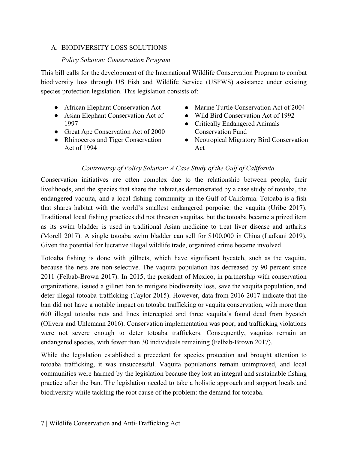#### <span id="page-7-0"></span>A. BIODIVERSITY LOSS SOLUTIONS

#### *Policy Solution: Conservation Program*

This bill calls for the development of the International Wildlife Conservation Program to combat biodiversity loss through US Fish and Wildlife Service (USFWS) assistance under existing species protection legislation. This legislation consists of:

- African Elephant Conservation Act
- Asian Elephant Conservation Act of 1997
- Great Ape Conservation Act of 2000
- Rhinoceros and Tiger Conservation Act of 1994
- Marine Turtle Conservation Act of 2004
- Wild Bird Conservation Act of 1992
- Critically Endangered Animals Conservation Fund
- Neotropical Migratory Bird Conservation Act

#### *Controversy of Policy Solution: A Case Study of the Gulf of California*

Conservation initiatives are often complex due to the relationship between people, their livelihoods, and the species that share the habitat,as demonstrated by a case study of totoaba, the endangered vaquita, and a local fishing community in the Gulf of California. Totoaba is a fish that shares habitat with the world's smallest endangered porpoise: the vaquita (Uribe 2017). Traditional local fishing practices did not threaten vaquitas, but the totoaba became a prized item as its swim bladder is used in traditional Asian medicine to treat liver disease and arthritis (Morell 2017). A single totoaba swim bladder can sell for \$100,000 in China (Ladkani 2019). Given the potential for lucrative illegal wildlife trade, organized crime became involved.

Totoaba fishing is done with gillnets, which have significant bycatch, such as the vaquita, because the nets are non-selective. The vaquita population has decreased by 90 percent since 2011 (Felbab-Brown 2017). In 2015, the president of Mexico, in partnership with conservation organizations, issued a gillnet ban to mitigate biodiversity loss, save the vaquita population, and deter illegal totoaba trafficking (Taylor 2015). However, data from 2016-2017 indicate that the ban did not have a notable impact on totoaba trafficking or vaquita conservation, with more than 600 illegal totoaba nets and lines intercepted and three vaquita's found dead from bycatch (Olivera and Uhlemann 2016). Conservation implementation was poor, and trafficking violations were not severe enough to deter totoaba traffickers. Consequently, vaquitas remain an endangered species, with fewer than 30 individuals remaining (Felbab-Brown 2017).

While the legislation established a precedent for species protection and brought attention to totoaba trafficking, it was unsuccessful. Vaquita populations remain unimproved, and local communities were harmed by the legislation because they lost an integral and sustainable fishing practice after the ban. The legislation needed to take a holistic approach and support locals and biodiversity while tackling the root cause of the problem: the demand for totoaba.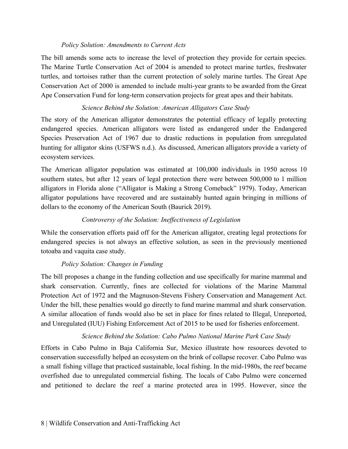#### *Policy Solution: Amendments to Current Acts*

The bill amends some acts to increase the level of protection they provide for certain species. The Marine Turtle Conservation Act of 2004 is amended to protect marine turtles, freshwater turtles, and tortoises rather than the current protection of solely marine turtles. The Great Ape Conservation Act of 2000 is amended to include multi-year grants to be awarded from the Great Ape Conservation Fund for long-term conservation projects for great apes and their habitats.

#### *Science Behind the Solution: American Alligators Case Study*

The story of the American alligator demonstrates the potential efficacy of legally protecting endangered species. American alligators were listed as endangered under the Endangered Species Preservation Act of 1967 due to drastic reductions in population from unregulated hunting for alligator skins (USFWS n.d.). As discussed, American alligators provide a variety of ecosystem services.

The American alligator population was estimated at 100,000 individuals in 1950 across 10 southern states, but after 12 years of legal protection there were between 500,000 to 1 million alligators in Florida alone ("Alligator is Making a Strong Comeback" 1979). Today, American alligator populations have recovered and are sustainably hunted again bringing in millions of dollars to the economy of the American South (Baurick 2019).

## *Controversy of the Solution: Ineffectiveness of Legislation*

While the conservation efforts paid off for the American alligator, creating legal protections for endangered species is not always an effective solution, as seen in the previously mentioned totoaba and vaquita case study.

## *Policy Solution: Changes in Funding*

The bill proposes a change in the funding collection and use specifically for marine mammal and shark conservation. Currently, fines are collected for violations of the Marine Mammal Protection Act of 1972 and the Magnuson-Stevens Fishery Conservation and Management Act. Under the bill, these penalties would go directly to fund marine mammal and shark conservation. A similar allocation of funds would also be set in place for fines related to Illegal, Unreported, and Unregulated (IUU) Fishing Enforcement Act of 2015 to be used for fisheries enforcement.

## *Science Behind the Solution: Cabo Pulmo National Marine Park Case Study*

Efforts in Cabo Pulmo in Baja California Sur, Mexico illustrate how resources devoted to conservation successfully helped an ecosystem on the brink of collapse recover. Cabo Pulmo was a small fishing village that practiced sustainable, local fishing. In the mid-1980s, the reef became overfished due to unregulated commercial fishing. The locals of Cabo Pulmo were concerned and petitioned to declare the reef a marine protected area in 1995. However, since the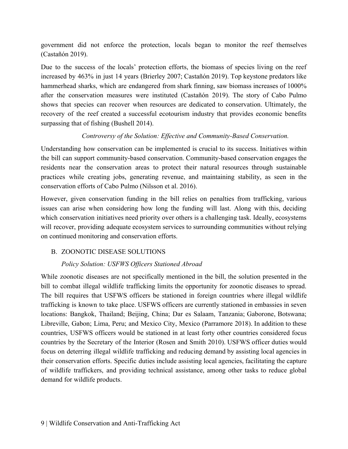government did not enforce the protection, locals began to monitor the reef themselves (Castañón 2019).

Due to the success of the locals' protection efforts, the biomass of species living on the reef increased by 463% in just 14 years (Brierley 2007; Castañón 2019). Top keystone predators like hammerhead sharks, which are endangered from shark finning, saw biomass increases of 1000% after the conservation measures were instituted (Castañón 2019). The story of Cabo Pulmo shows that species can recover when resources are dedicated to conservation. Ultimately, the recovery of the reef created a successful ecotourism industry that provides economic benefits surpassing that of fishing (Bushell 2014).

#### *Controversy of the Solution: Effective and Community-Based Conservation.*

Understanding how conservation can be implemented is crucial to its success. Initiatives within the bill can support community-based conservation. Community-based conservation engages the residents near the conservation areas to protect their natural resources through sustainable practices while creating jobs, generating revenue, and maintaining stability, as seen in the conservation efforts of Cabo Pulmo (Nilsson et al. 2016).

However, given conservation funding in the bill relies on penalties from trafficking, various issues can arise when considering how long the funding will last. Along with this, deciding which conservation initiatives need priority over others is a challenging task. Ideally, ecosystems will recover, providing adequate ecosystem services to surrounding communities without relying on continued monitoring and conservation efforts.

## <span id="page-9-0"></span>B. ZOONOTIC DISEASE SOLUTIONS

#### *Policy Solution: USFWS Officers Stationed Abroad*

While zoonotic diseases are not specifically mentioned in the bill, the solution presented in the bill to combat illegal wildlife trafficking limits the opportunity for zoonotic diseases to spread. The bill requires that USFWS officers be stationed in foreign countries where illegal wildlife trafficking is known to take place. USFWS officers are currently stationed in embassies in seven locations: Bangkok, Thailand; Beijing, China; Dar es Salaam, Tanzania; Gaborone, Botswana; Libreville, Gabon; Lima, Peru; and Mexico City, Mexico (Parramore 2018). In addition to these countries, USFWS officers would be stationed in at least forty other countries considered focus countries by the Secretary of the Interior (Rosen and Smith 2010). USFWS officer duties would focus on deterring illegal wildlife trafficking and reducing demand by assisting local agencies in their conservation efforts. Specific duties include assisting local agencies, facilitating the capture of wildlife traffickers, and providing technical assistance, among other tasks to reduce global demand for wildlife products.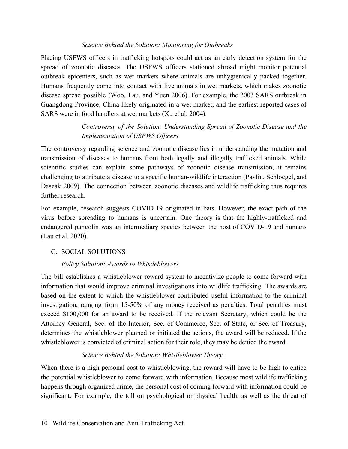#### *Science Behind the Solution: Monitoring for Outbreaks*

Placing USFWS officers in trafficking hotspots could act as an early detection system for the spread of zoonotic diseases. The USFWS officers stationed abroad might monitor potential outbreak epicenters, such as wet markets where animals are unhygienically packed together. Humans frequently come into contact with live animals in wet markets, which makes zoonotic disease spread possible (Woo, Lau, and Yuen 2006). For example, the 2003 SARS outbreak in Guangdong Province, China likely originated in a wet market, and the earliest reported cases of SARS were in food handlers at wet markets (Xu et al. 2004).

## *Controversy of the Solution: Understanding Spread of Zoonotic Disease and the Implementation of USFWS Officers*

The controversy regarding science and zoonotic disease lies in understanding the mutation and transmission of diseases to humans from both legally and illegally trafficked animals. While scientific studies can explain some pathways of zoonotic disease transmission, it remains challenging to attribute a disease to a specific human-wildlife interaction (Pavlin, Schloegel, and Daszak 2009). The connection between zoonotic diseases and wildlife trafficking thus requires further research.

For example, research suggests COVID-19 originated in bats. However, the exact path of the virus before spreading to humans is uncertain. One theory is that the highly-trafficked and endangered pangolin was an intermediary species between the host of COVID-19 and humans (Lau et al. 2020).

## <span id="page-10-0"></span>C. SOCIAL SOLUTIONS

## *Policy Solution: Awards to Whistleblowers*

The bill establishes a whistleblower reward system to incentivize people to come forward with information that would improve criminal investigations into wildlife trafficking. The awards are based on the extent to which the whistleblower contributed useful information to the criminal investigation, ranging from 15-50% of any money received as penalties. Total penalties must exceed \$100,000 for an award to be received. If the relevant Secretary, which could be the Attorney General, Sec. of the Interior, Sec. of Commerce, Sec. of State, or Sec. of Treasury, determines the whistleblower planned or initiated the actions, the award will be reduced. If the whistleblower is convicted of criminal action for their role, they may be denied the award.

## *Science Behind the Solution: Whistleblower Theory.*

When there is a high personal cost to whistleblowing, the reward will have to be high to entice the potential whistleblower to come forward with information. Because most wildlife trafficking happens through organized crime, the personal cost of coming forward with information could be significant. For example, the toll on psychological or physical health, as well as the threat of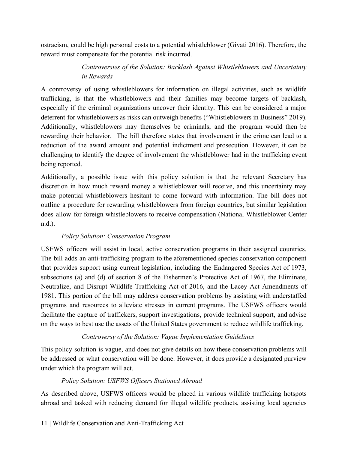ostracism, could be high personal costs to a potential whistleblower (Givati 2016). Therefore, the reward must compensate for the potential risk incurred.

## *Controversies of the Solution: Backlash Against Whistleblowers and Uncertainty in Rewards*

A controversy of using whistleblowers for information on illegal activities, such as wildlife trafficking, is that the whistleblowers and their families may become targets of backlash, especially if the criminal organizations uncover their identity. This can be considered a major deterrent for whistleblowers as risks can outweigh benefits ("Whistleblowers in Business" 2019). Additionally, whistleblowers may themselves be criminals, and the program would then be rewarding their behavior. The bill therefore states that involvement in the crime can lead to a reduction of the award amount and potential indictment and prosecution. However, it can be challenging to identify the degree of involvement the whistleblower had in the trafficking event being reported.

Additionally, a possible issue with this policy solution is that the relevant Secretary has discretion in how much reward money a whistleblower will receive, and this uncertainty may make potential whistleblowers hesitant to come forward with information. The bill does not outline a procedure for rewarding whistleblowers from foreign countries, but similar legislation does allow for foreign whistleblowers to receive compensation (National Whistleblower Center n.d.).

## *Policy Solution: Conservation Program*

USFWS officers will assist in local, active conservation programs in their assigned countries. The bill adds an anti-trafficking program to the aforementioned species conservation component that provides support using current legislation, including the Endangered Species Act of 1973, subsections (a) and (d) of section 8 of the Fishermen's Protective Act of 1967, the Eliminate, Neutralize, and Disrupt Wildlife Trafficking Act of 2016, and the Lacey Act Amendments of 1981. This portion of the bill may address conservation problems by assisting with understaffed programs and resources to alleviate stresses in current programs. The USFWS officers would facilitate the capture of traffickers, support investigations, provide technical support, and advise on the ways to best use the assets of the United States government to reduce wildlife trafficking.

## *Controversy of the Solution: Vague Implementation Guidelines*

This policy solution is vague, and does not give details on how these conservation problems will be addressed or what conservation will be done. However, it does provide a designated purview under which the program will act.

## *Policy Solution: USFWS Officers Stationed Abroad*

As described above, USFWS officers would be placed in various wildlife trafficking hotspots abroad and tasked with reducing demand for illegal wildlife products, assisting local agencies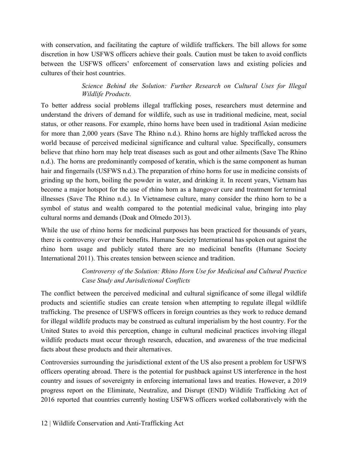with conservation, and facilitating the capture of wildlife traffickers. The bill allows for some discretion in how USFWS officers achieve their goals. Caution must be taken to avoid conflicts between the USFWS officers' enforcement of conservation laws and existing policies and cultures of their host countries.

## *Science Behind the Solution: Further Research on Cultural Uses for Illegal Wildlife Products.*

To better address social problems illegal trafficking poses, researchers must determine and understand the drivers of demand for wildlife, such as use in traditional medicine, meat, social status, or other reasons. For example, rhino horns have been used in traditional Asian medicine for more than 2,000 years (Save The Rhino n.d.). Rhino horns are highly trafficked across the world because of perceived medicinal significance and cultural value. Specifically, consumers believe that rhino horn may help treat diseases such as gout and other ailments (Save The Rhino n.d.). The horns are predominantly composed of keratin, which is the same component as human hair and fingernails (USFWS n.d.). The preparation of rhino horns for use in medicine consists of grinding up the horn, boiling the powder in water, and drinking it. In recent years, Vietnam has become a major hotspot for the use of rhino horn as a hangover cure and treatment for terminal illnesses (Save The Rhino n.d.). In Vietnamese culture, many consider the rhino horn to be a symbol of status and wealth compared to the potential medicinal value, bringing into play cultural norms and demands (Doak and Olmedo 2013).

While the use of rhino horns for medicinal purposes has been practiced for thousands of years, there is controversy over their benefits. Humane Society International has spoken out against the rhino horn usage and publicly stated there are no medicinal benefits (Humane Society International 2011). This creates tension between science and tradition.

## *Controversy of the Solution: Rhino Horn Use for Medicinal and Cultural Practice Case Study and Jurisdictional Conflicts*

The conflict between the perceived medicinal and cultural significance of some illegal wildlife products and scientific studies can create tension when attempting to regulate illegal wildlife trafficking. The presence of USFWS officers in foreign countries as they work to reduce demand for illegal wildlife products may be construed as cultural imperialism by the host country. For the United States to avoid this perception, change in cultural medicinal practices involving illegal wildlife products must occur through research, education, and awareness of the true medicinal facts about these products and their alternatives.

Controversies surrounding the jurisdictional extent of the US also present a problem for USFWS officers operating abroad. There is the potential for pushback against US interference in the host country and issues of sovereignty in enforcing international laws and treaties. However, a 2019 progress report on the Eliminate, Neutralize, and Disrupt (END) Wildlife Trafficking Act of 2016 reported that countries currently hosting USFWS officers worked collaboratively with the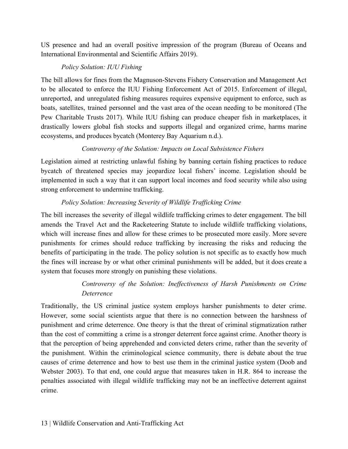US presence and had an overall positive impression of the program (Bureau of Oceans and International Environmental and Scientific Affairs 2019).

## *Policy Solution: IUU Fishing*

The bill allows for fines from the Magnuson-Stevens Fishery Conservation and Management Act to be allocated to enforce the IUU Fishing Enforcement Act of 2015. Enforcement of illegal, unreported, and unregulated fishing measures requires expensive equipment to enforce, such as boats, satellites, trained personnel and the vast area of the ocean needing to be monitored (The Pew Charitable Trusts 2017). While IUU fishing can produce cheaper fish in marketplaces, it drastically lowers global fish stocks and supports illegal and organized crime, harms marine ecosystems, and produces bycatch (Monterey Bay Aquarium n.d.).

## *Controversy of the Solution: Impacts on Local Subsistence Fishers*

Legislation aimed at restricting unlawful fishing by banning certain fishing practices to reduce bycatch of threatened species may jeopardize local fishers' income. Legislation should be implemented in such a way that it can support local incomes and food security while also using strong enforcement to undermine trafficking.

## *Policy Solution: Increasing Severity of Wildlife Trafficking Crime*

The bill increases the severity of illegal wildlife trafficking crimes to deter engagement. The bill amends the Travel Act and the Racketeering Statute to include wildlife trafficking violations, which will increase fines and allow for these crimes to be prosecuted more easily. More severe punishments for crimes should reduce trafficking by increasing the risks and reducing the benefits of participating in the trade. The policy solution is not specific as to exactly how much the fines will increase by or what other criminal punishments will be added, but it does create a system that focuses more strongly on punishing these violations.

## *Controversy of the Solution: Ineffectiveness of Harsh Punishments on Crime Deterrence*

Traditionally, the US criminal justice system employs harsher punishments to deter crime. However, some social scientists argue that there is no connection between the harshness of punishment and crime deterrence. One theory is that the threat of criminal stigmatization rather than the cost of committing a crime is a stronger deterrent force against crime. Another theory is that the perception of being apprehended and convicted deters crime, rather than the severity of the punishment. Within the criminological science community, there is debate about the true causes of crime deterrence and how to best use them in the criminal justice system (Doob and Webster 2003). To that end, one could argue that measures taken in H.R. 864 to increase the penalties associated with illegal wildlife trafficking may not be an ineffective deterrent against crime.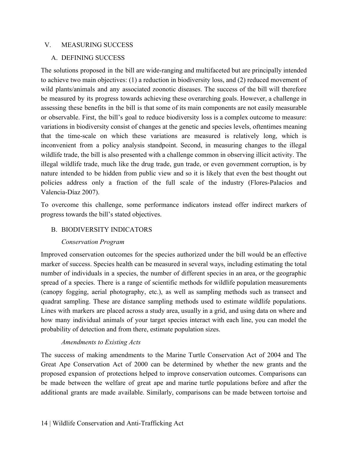#### <span id="page-14-1"></span><span id="page-14-0"></span>V. MEASURING SUCCESS

#### A. DEFINING SUCCESS

The solutions proposed in the bill are wide-ranging and multifaceted but are principally intended to achieve two main objectives: (1) a reduction in biodiversity loss, and (2) reduced movement of wild plants/animals and any associated zoonotic diseases. The success of the bill will therefore be measured by its progress towards achieving these overarching goals. However, a challenge in assessing these benefits in the bill is that some of its main components are not easily measurable or observable. First, the bill's goal to reduce biodiversity loss is a complex outcome to measure: variations in biodiversity consist of changes at the genetic and species levels, oftentimes meaning that the time-scale on which these variations are measured is relatively long, which is inconvenient from a policy analysis standpoint. Second, in measuring changes to the illegal wildlife trade, the bill is also presented with a challenge common in observing illicit activity. The illegal wildlife trade, much like the drug trade, gun trade, or even government corruption, is by nature intended to be hidden from public view and so it is likely that even the best thought out policies address only a fraction of the full scale of the industry (Flores-Palacios and Valencia-Díaz 2007).

To overcome this challenge, some performance indicators instead offer indirect markers of progress towards the bill's stated objectives.

## <span id="page-14-2"></span>B. BIODIVERSITY INDICATORS

#### *Conservation Program*

Improved conservation outcomes for the species authorized under the bill would be an effective marker of success. Species health can be measured in several ways, including estimating the total number of individuals in a species, the number of different species in an area, or the geographic spread of a species. There is a range of scientific methods for wildlife population measurements (canopy fogging, aerial photography, etc.), as well as sampling methods such as transect and quadrat sampling. These are distance sampling methods used to estimate wildlife populations. Lines with markers are placed across a study area, usually in a grid, and using data on where and how many individual animals of your target species interact with each line, you can model the probability of detection and from there, estimate population sizes.

#### *Amendments to Existing Acts*

The success of making amendments to the Marine Turtle Conservation Act of 2004 and The Great Ape Conservation Act of 2000 can be determined by whether the new grants and the proposed expansion of protections helped to improve conservation outcomes. Comparisons can be made between the welfare of great ape and marine turtle populations before and after the additional grants are made available. Similarly, comparisons can be made between tortoise and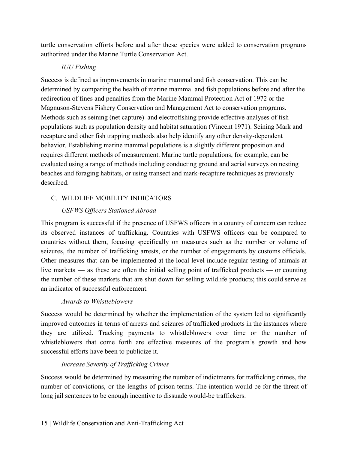turtle conservation efforts before and after these species were added to conservation programs authorized under the Marine Turtle Conservation Act.

#### *IUU Fishing*

Success is defined as improvements in marine mammal and fish conservation. This can be determined by comparing the health of marine mammal and fish populations before and after the redirection of fines and penalties from the Marine Mammal Protection Act of 1972 or the Magnuson-Stevens Fishery Conservation and Management Act to conservation programs. Methods such as seining (net capture) and electrofishing provide effective analyses of fish populations such as population density and habitat saturation (Vincent 1971). Seining Mark and recapture and other fish trapping methods also help identify any other density-dependent behavior. Establishing marine mammal populations is a slightly different proposition and requires different methods of measurement. Marine turtle populations, for example, can be evaluated using a range of methods including conducting ground and aerial surveys on nesting beaches and foraging habitats, or using transect and mark-recapture techniques as previously described.

## <span id="page-15-0"></span>C. WILDLIFE MOBILITY INDICATORS

## *USFWS Officers Stationed Abroad*

This program is successful if the presence of USFWS officers in a country of concern can reduce its observed instances of trafficking. Countries with USFWS officers can be compared to countries without them, focusing specifically on measures such as the number or volume of seizures, the number of trafficking arrests, or the number of engagements by customs officials. Other measures that can be implemented at the local level include regular testing of animals at live markets — as these are often the initial selling point of trafficked products — or counting the number of these markets that are shut down for selling wildlife products; this could serve as an indicator of successful enforcement.

## *Awards to Whistleblowers*

Success would be determined by whether the implementation of the system led to significantly improved outcomes in terms of arrests and seizures of trafficked products in the instances where they are utilized. Tracking payments to whistleblowers over time or the number of whistleblowers that come forth are effective measures of the program's growth and how successful efforts have been to publicize it.

## *Increase Severity of Trafficking Crimes*

Success would be determined by measuring the number of indictments for trafficking crimes, the number of convictions, or the lengths of prison terms. The intention would be for the threat of long jail sentences to be enough incentive to dissuade would-be traffickers.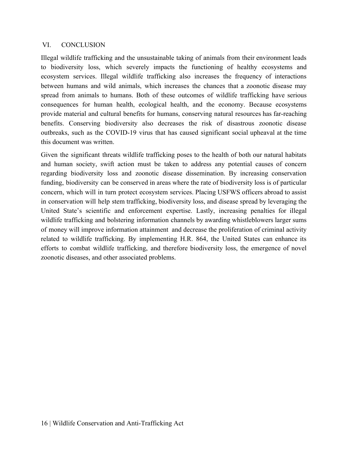#### <span id="page-16-0"></span>VI. CONCLUSION

Illegal wildlife trafficking and the unsustainable taking of animals from their environment leads to biodiversity loss, which severely impacts the functioning of healthy ecosystems and ecosystem services. Illegal wildlife trafficking also increases the frequency of interactions between humans and wild animals, which increases the chances that a zoonotic disease may spread from animals to humans. Both of these outcomes of wildlife trafficking have serious consequences for human health, ecological health, and the economy. Because ecosystems provide material and cultural benefits for humans, conserving natural resources has far-reaching benefits. Conserving biodiversity also decreases the risk of disastrous zoonotic disease outbreaks, such as the COVID-19 virus that has caused significant social upheaval at the time this document was written.

Given the significant threats wildlife trafficking poses to the health of both our natural habitats and human society, swift action must be taken to address any potential causes of concern regarding biodiversity loss and zoonotic disease dissemination. By increasing conservation funding, biodiversity can be conserved in areas where the rate of biodiversity loss is of particular concern, which will in turn protect ecosystem services. Placing USFWS officers abroad to assist in conservation will help stem trafficking, biodiversity loss, and disease spread by leveraging the United State's scientific and enforcement expertise. Lastly, increasing penalties for illegal wildlife trafficking and bolstering information channels by awarding whistleblowers larger sums of money will improve information attainment and decrease the proliferation of criminal activity related to wildlife trafficking. By implementing H.R. 864, the United States can enhance its efforts to combat wildlife trafficking, and therefore biodiversity loss, the emergence of novel zoonotic diseases, and other associated problems.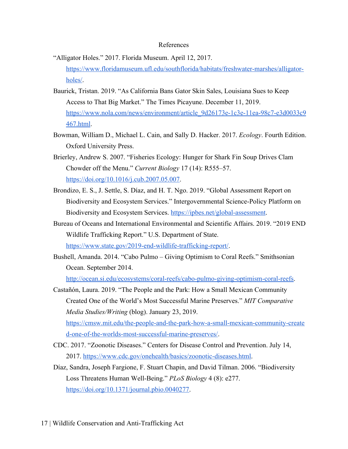#### References

- <span id="page-17-0"></span>"Alligator Holes." 2017. Florida Museum. April 12, 2017. [https://www.floridamuseum.ufl.edu/southflorida/habitats/freshwater-marshes/alligator](https://www.floridamuseum.ufl.edu/southflorida/habitats/freshwater-marshes/alligator-holes/)[holes/.](https://www.floridamuseum.ufl.edu/southflorida/habitats/freshwater-marshes/alligator-holes/)
- Baurick, Tristan. 2019. "As California Bans Gator Skin Sales, Louisiana Sues to Keep Access to That Big Market." The Times Picayune. December 11, 2019. [https://www.nola.com/news/environment/article\\_9d26173e-1c3e-11ea-98c7-e3d0033c9](https://www.nola.com/news/environment/article_9d26173e-1c3e-11ea-98c7-e3d0033c9467.html) [467.html](https://www.nola.com/news/environment/article_9d26173e-1c3e-11ea-98c7-e3d0033c9467.html).
- Bowman, William D., Michael L. Cain, and Sally D. Hacker. 2017. *Ecology*. Fourth Edition. Oxford University Press.
- Brierley, Andrew S. 2007. "Fisheries Ecology: Hunger for Shark Fin Soup Drives Clam Chowder off the Menu." *Current Biology* 17 (14): R555–57. <https://doi.org/10.1016/j.cub.2007.05.007>.
- Brondizo, E. S., J. Settle, S. Díaz, and H. T. Ngo. 2019. "Global Assessment Report on Biodiversity and Ecosystem Services." Intergovernmental Science-Policy Platform on Biodiversity and Ecosystem Services. <https://ipbes.net/global-assessment>.
- Bureau of Oceans and International Environmental and Scientific Affairs. 2019. "2019 END Wildlife Trafficking Report." U.S. Department of State. <https://www.state.gov/2019-end-wildlife-trafficking-report/>.
- Bushell, Amanda. 2014. "Cabo Pulmo Giving Optimism to Coral Reefs." Smithsonian Ocean. September 2014[.](http://ocean.si.edu/ecosystems/coral-reefs/cabo-pulmo-giving-optimism-coral-reefs)

[http://ocean.si.edu/ecosystems/coral-reefs/cabo-pulmo-giving-optimism-coral-reefs.](http://ocean.si.edu/ecosystems/coral-reefs/cabo-pulmo-giving-optimism-coral-reefs)

Castañón, Laura. 2019. "The People and the Park: How a Small Mexican Community Created One of the World's Most Successful Marine Preserves." *MIT Comparative Media Studies/Writing* (blog). January 23, 2019[.](https://cmsw.mit.edu/the-people-and-the-park-how-a-small-mexican-community-created-one-of-the-worlds-most-successful-marine-preserves/)

[https://cmsw.mit.edu/the-people-and-the-park-how-a-small-mexican-community-create](https://cmsw.mit.edu/the-people-and-the-park-how-a-small-mexican-community-created-one-of-the-worlds-most-successful-marine-preserves/) [d-one-of-the-worlds-most-successful-marine-preserves/](https://cmsw.mit.edu/the-people-and-the-park-how-a-small-mexican-community-created-one-of-the-worlds-most-successful-marine-preserves/).

- CDC. 2017. "Zoonotic Diseases." Centers for Disease Control and Prevention. July 14, 2017[.](https://www.cdc.gov/onehealth/basics/zoonotic-diseases.html) [https://www.cdc.gov/onehealth/basics/zoonotic-diseases.html.](https://www.cdc.gov/onehealth/basics/zoonotic-diseases.html)
- Díaz, Sandra, Joseph Fargione, F. Stuart Chapin, and David Tilman. 2006. "Biodiversity Loss Threatens Human Well-Being." *PLoS Biology* 4 (8): e277. [https://doi.org/10.1371/journal.pbio.0040277.](https://doi.org/10.1371/journal.pbio.0040277)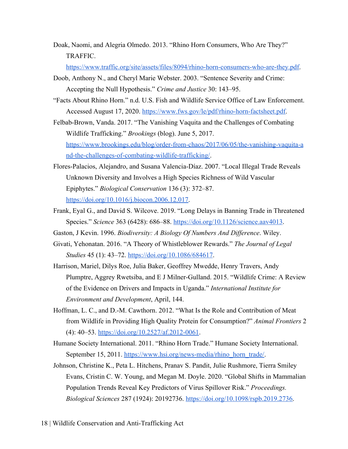Doak, Naomi, and Alegria Olmedo. 2013. "Rhino Horn Consumers, Who Are They?" TRAFFIC.

<https://www.traffic.org/site/assets/files/8094/rhino-horn-consumers-who-are-they.pdf>.

- Doob, Anthony N., and Cheryl Marie Webster. 2003. "Sentence Severity and Crime: Accepting the Null Hypothesis." *Crime and Justice* 30: 143–95.
- "Facts About Rhino Horn." n.d. U.S. Fish and Wildlife Service Office of Law Enforcement. Accessed August 17, 2020. <https://www.fws.gov/le/pdf/rhino-horn-factsheet.pdf>.
- Felbab-Brown, Vanda. 2017. "The Vanishing Vaquita and the Challenges of Combating Wildlife Trafficking." *Brookings* (blog). June 5, 2017[.](https://www.brookings.edu/blog/order-from-chaos/2017/06/05/the-vanishing-vaquita-and-the-challenges-of-combating-wildlife-trafficking/) [https://www.brookings.edu/blog/order-from-chaos/2017/06/05/the-vanishing-vaquita-a](https://www.brookings.edu/blog/order-from-chaos/2017/06/05/the-vanishing-vaquita-and-the-challenges-of-combating-wildlife-trafficking/) [nd-the-challenges-of-combating-wildlife-trafficking/.](https://www.brookings.edu/blog/order-from-chaos/2017/06/05/the-vanishing-vaquita-and-the-challenges-of-combating-wildlife-trafficking/)
- Flores-Palacios, Alejandro, and Susana Valencia-Díaz. 2007. "Local Illegal Trade Reveals Unknown Diversity and Involves a High Species Richness of Wild Vascular Epiphytes." *Biological Conservation* 136 (3): 372–87[.](https://doi.org/10.1016/j.biocon.2006.12.017) [https://doi.org/10.1016/j.biocon.2006.12.017.](https://doi.org/10.1016/j.biocon.2006.12.017)
- Frank, Eyal G., and David S. Wilcove. 2019. "Long Delays in Banning Trade in Threatened Species." *Science* 363 (6428): 686–88[.](https://doi.org/10.1126/science.aav4013) <https://doi.org/10.1126/science.aav4013>.
- Gaston, J Kevin. 1996. *Biodiversity: A Biology Of Numbers And Difference*. Wiley.
- Givati, Yehonatan. 2016. "A Theory of Whistleblower Rewards." *The Journal of Legal Studies* 45 (1): 43–72[.](https://doi.org/10.1086/684617) <https://doi.org/10.1086/684617>.
- Harrison, Mariel, Dilys Roe, Julia Baker, Geoffrey Mwedde, Henry Travers, Andy Plumptre, Aggrey Rwetsiba, and E J Milner-Gulland. 2015. "Wildlife Crime: A Review of the Evidence on Drivers and Impacts in Uganda." *International Institute for Environment and Development*, April, 144.
- Hoffman, L. C., and D.-M. Cawthorn. 2012. "What Is the Role and Contribution of Meat from Wildlife in Providing High Quality Protein for Consumption?" *Animal Frontiers* 2 (4): 40–53. <https://doi.org/10.2527/af.2012-0061>.
- Humane Society International. 2011. "Rhino Horn Trade." Humane Society International. September 15, 2011[.](https://www.hsi.org/news-media/rhino_horn_trade/) [https://www.hsi.org/news-media/rhino\\_horn\\_trade/](https://www.hsi.org/news-media/rhino_horn_trade/).
- Johnson, Christine K., Peta L. Hitchens, Pranav S. Pandit, Julie Rushmore, Tierra Smiley Evans, Cristin C. W. Young, and Megan M. Doyle. 2020. "Global Shifts in Mammalian Population Trends Reveal Key Predictors of Virus Spillover Risk." *Proceedings. Biological Sciences* 287 (1924): 20192736. [https://doi.org/10.1098/rspb.2019.2736.](https://doi.org/10.1098/rspb.2019.2736)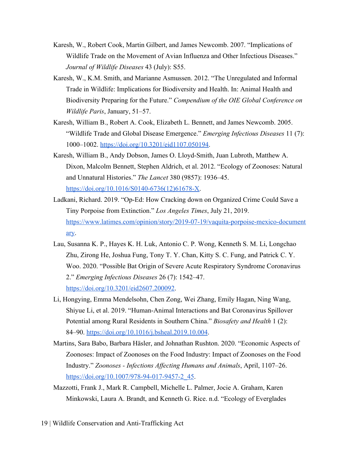- Karesh, W., Robert Cook, Martin Gilbert, and James Newcomb. 2007. "Implications of Wildlife Trade on the Movement of Avian Influenza and Other Infectious Diseases." *Journal of Wildlife Diseases* 43 (July): S55.
- Karesh, W., K.M. Smith, and Marianne Asmussen. 2012. "The Unregulated and Informal Trade in Wildlife: Implications for Biodiversity and Health. In: Animal Health and Biodiversity Preparing for the Future." *Compendium of the OIE Global Conference on Wildlife Paris*, January, 51–57.
- Karesh, William B., Robert A. Cook, Elizabeth L. Bennett, and James Newcomb. 2005. "Wildlife Trade and Global Disease Emergence." *Emerging Infectious Diseases* 11 (7): 1000–1002[.](https://doi.org/10.3201/eid1107.050194) [https://doi.org/10.3201/eid1107.050194.](https://doi.org/10.3201/eid1107.050194)
- Karesh, William B., Andy Dobson, James O. Lloyd-Smith, Juan Lubroth, Matthew A. Dixon, Malcolm Bennett, Stephen Aldrich, et al. 2012. "Ecology of Zoonoses: Natural and Unnatural Histories." *The Lancet* 380 (9857): 1936–45. [https://doi.org/10.1016/S0140-6736\(12\)61678-X.](https://doi.org/10.1016/S0140-6736(12)61678-X)
- Ladkani, Richard. 2019. "Op-Ed: How Cracking down on Organized Crime Could Save a Tiny Porpoise from Extinction." *Los Angeles Times*, July 21, 2019. [https://www.latimes.com/opinion/story/2019-07-19/vaquita-porpoise-mexico-document](https://www.latimes.com/opinion/story/2019-07-19/vaquita-porpoise-mexico-documentary) [ary](https://www.latimes.com/opinion/story/2019-07-19/vaquita-porpoise-mexico-documentary).
- Lau, Susanna K. P., Hayes K. H. Luk, Antonio C. P. Wong, Kenneth S. M. Li, Longchao Zhu, Zirong He, Joshua Fung, Tony T. Y. Chan, Kitty S. C. Fung, and Patrick C. Y. Woo. 2020. "Possible Bat Origin of Severe Acute Respiratory Syndrome Coronavirus 2." *Emerging Infectious Diseases* 26 (7): 1542–47[.](https://doi.org/10.3201/eid2607.200092) [https://doi.org/10.3201/eid2607.200092.](https://doi.org/10.3201/eid2607.200092)
- Li, Hongying, Emma Mendelsohn, Chen Zong, Wei Zhang, Emily Hagan, Ning Wang, Shiyue Li, et al. 2019. "Human-Animal Interactions and Bat Coronavirus Spillover Potential among Rural Residents in Southern China." *Biosafety and Health* 1 (2): 84–90[.](https://doi.org/10.1016/j.bsheal.2019.10.004) <https://doi.org/10.1016/j.bsheal.2019.10.004>.
- Martins, Sara Babo, Barbara Häsler, and Johnathan Rushton. 2020. "Economic Aspects of Zoonoses: Impact of Zoonoses on the Food Industry: Impact of Zoonoses on the Food Industry." *Zoonoses - Infections Affecting Humans and Animals*, April, 1107–26. [https://doi.org/10.1007/978-94-017-9457-2\\_45](https://doi.org/10.1007/978-94-017-9457-2_45).
- Mazzotti, Frank J., Mark R. Campbell, Michelle L. Palmer, Jocie A. Graham, Karen Minkowski, Laura A. Brandt, and Kenneth G. Rice. n.d. "Ecology of Everglades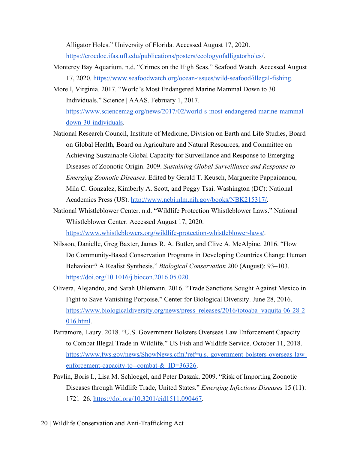Alligator Holes." University of Florida. Accessed August 17, 2020. [https://crocdoc.ifas.ufl.edu/publications/posters/ecologyofalligatorholes/.](https://crocdoc.ifas.ufl.edu/publications/posters/ecologyofalligatorholes/)

- Monterey Bay Aquarium. n.d. "Crimes on the High Seas." Seafood Watch. Accessed August 17, 2020[.](https://www.seafoodwatch.org/ocean-issues/wild-seafood/illegal-fishing) <https://www.seafoodwatch.org/ocean-issues/wild-seafood/illegal-fishing>.
- Morell, Virginia. 2017. "World's Most Endangered Marine Mammal Down to 30 Individuals." Science | AAAS. February 1, 2017[.](https://www.sciencemag.org/news/2017/02/world-s-most-endangered-marine-mammal-down-30-individuals) [https://www.sciencemag.org/news/2017/02/world-s-most-endangered-marine-mammal](https://www.sciencemag.org/news/2017/02/world-s-most-endangered-marine-mammal-down-30-individuals)[down-30-individuals](https://www.sciencemag.org/news/2017/02/world-s-most-endangered-marine-mammal-down-30-individuals).
- National Research Council, Institute of Medicine, Division on Earth and Life Studies, Board on Global Health, Board on Agriculture and Natural Resources, and Committee on Achieving Sustainable Global Capacity for Surveillance and Response to Emerging Diseases of Zoonotic Origin. 2009. *Sustaining Global Surveillance and Response to Emerging Zoonotic Diseases*. Edited by Gerald T. Keusch, Marguerite Pappaioanou, Mila C. Gonzalez, Kimberly A. Scott, and Peggy Tsai. Washington (DC): National Academies Press (US)[.](http://www.ncbi.nlm.nih.gov/books/NBK215317/) [http://www.ncbi.nlm.nih.gov/books/NBK215317/.](http://www.ncbi.nlm.nih.gov/books/NBK215317/)
- National Whistleblower Center. n.d. "Wildlife Protection Whistleblower Laws." National Whistleblower Center. Accessed August 17, 2020[.](https://www.whistleblowers.org/wildlife-protection-whistleblower-laws/)

[https://www.whistleblowers.org/wildlife-protection-whistleblower-laws/.](https://www.whistleblowers.org/wildlife-protection-whistleblower-laws/)

- Nilsson, Danielle, Greg Baxter, James R. A. Butler, and Clive A. McAlpine. 2016. "How Do Community-Based Conservation Programs in Developing Countries Change Human Behaviour? A Realist Synthesis." *Biological Conservation* 200 (August): 93–103[.](https://doi.org/10.1016/j.biocon.2016.05.020) [https://doi.org/10.1016/j.biocon.2016.05.020.](https://doi.org/10.1016/j.biocon.2016.05.020)
- Olivera, Alejandro, and Sarah Uhlemann. 2016. "Trade Sanctions Sought Against Mexico in Fight to Save Vanishing Porpoise." Center for Biological Diversity. June 28, 2016[.](https://www.biologicaldiversity.org/news/press_releases/2016/totoaba_vaquita-06-28-2016.html) [https://www.biologicaldiversity.org/news/press\\_releases/2016/totoaba\\_vaquita-06-28-2](https://www.biologicaldiversity.org/news/press_releases/2016/totoaba_vaquita-06-28-2016.html) [016.html](https://www.biologicaldiversity.org/news/press_releases/2016/totoaba_vaquita-06-28-2016.html).
- Parramore, Laury. 2018. "U.S. Government Bolsters Overseas Law Enforcement Capacity to Combat Illegal Trade in Wildlife." US Fish and Wildlife Service. October 11, 2018. [https://www.fws.gov/news/ShowNews.cfm?ref=u.s.-government-bolsters-overseas-law](https://www.fws.gov/news/ShowNews.cfm?ref=u.s.-government-bolsters-overseas-law-enforcement-capacity-to--combat-&_ID=36326)enforcement-capacity-to--combat-& ID=36326.
- Pavlin, Boris I., Lisa M. Schloegel, and Peter Daszak. 2009. "Risk of Importing Zoonotic Diseases through Wildlife Trade, United States." *Emerging Infectious Diseases* 15 (11): 1721–26[.](https://doi.org/10.3201/eid1511.090467) [https://doi.org/10.3201/eid1511.090467.](https://doi.org/10.3201/eid1511.090467)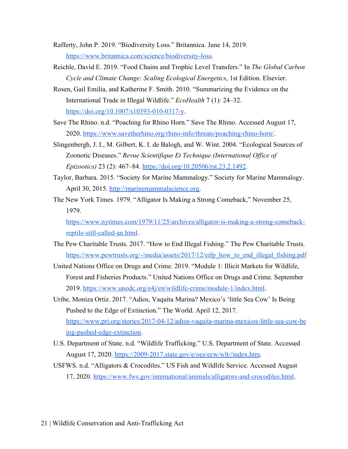- Rafferty, John P. 2019. "Biodiversity Loss." Britannica. June 14, 2019. <https://www.britannica.com/science/biodiversity-loss>.
- Reichle, David E. 2019. "Food Chains and Trophic Level Transfers." In *The Global Carbon Cycle and Climate Change: Scaling Ecological Energetics*, 1st Edition. Elsevier.
- Rosen, Gail Emilia, and Katherine F. Smith. 2010. "Summarizing the Evidence on the International Trade in Illegal Wildlife." *EcoHealth* 7 (1): 24–32[.](https://doi.org/10.1007/s10393-010-0317-y) <https://doi.org/10.1007/s10393-010-0317-y>.
- Save The Rhino. n.d. "Poaching for Rhino Horn." Save The Rhino. Accessed August 17, 2020[.](https://www.savetherhino.org/rhino-info/threats/poaching-rhino-horn/) <https://www.savetherhino.org/rhino-info/threats/poaching-rhino-horn/>.
- Slingenbergh, J. I., M. Gilbert, K. I. de Balogh, and W. Wint. 2004. "Ecological Sources of Zoonotic Diseases." *Revue Scientifique Et Technique (International Office of Epizootics)* 23 (2): 467–84. [https://doi.org/10.20506/rst.23.2.1492.](https://doi.org/10.20506/rst.23.2.1492)
- Taylor, Barbara. 2015. "Society for Marine Mammalogy." Society for Marine Mammalogy. April 30, 2015. [http://marinemammalscience.org.](http://marinemammalscience.org/)
- The New York Times. 1979. "Alligator Is Making a Strong Comeback," November 25, 1979[.](https://www.nytimes.com/1979/11/25/archives/alligator-is-making-a-strong-comeback-reptile-still-called-an.html)

[https://www.nytimes.com/1979/11/25/archives/alligator-is-making-a-strong-comeback](https://www.nytimes.com/1979/11/25/archives/alligator-is-making-a-strong-comeback-reptile-still-called-an.html)[reptile-still-called-an.html.](https://www.nytimes.com/1979/11/25/archives/alligator-is-making-a-strong-comeback-reptile-still-called-an.html)

- The Pew Charitable Trusts. 2017. "How to End Illegal Fishing." The Pew Charitable Trusts. [https://www.pewtrusts.org/-/media/assets/2017/12/eifp\\_how\\_to\\_end\\_illegal\\_fishing.pdf](https://www.pewtrusts.org/-/media/assets/2017/12/eifp_how_to_end_illegal_fishing.pdf)
- United Nations Office on Drugs and Crime. 2019. "Module 1: Illicit Markets for Wildlife, Forest and Fisheries Products." United Nations Office on Drugs and Crime. September 2019[.](https://www.unodc.org/e4j/en/wildlife-crime/module-1/index.html) [https://www.unodc.org/e4j/en/wildlife-crime/module-1/index.html.](https://www.unodc.org/e4j/en/wildlife-crime/module-1/index.html)
- Uribe, Moniza Ortiz. 2017. "Adios, Vaquita Marina? Mexico's 'little Sea Cow' Is Being Pushed to the Edge of Extinction." The World. April 12, 2017. [https://www.pri.org/stories/2017-04-12/adios-vaquita-marina-mexicos-little-sea-cow-be](https://www.pri.org/stories/2017-04-12/adios-vaquita-marina-mexicos-little-sea-cow-being-pushed-edge-extinction) [ing-pushed-edge-extinction](https://www.pri.org/stories/2017-04-12/adios-vaquita-marina-mexicos-little-sea-cow-being-pushed-edge-extinction).
- U.S. Department of State. n.d. "Wildlife Trafficking." U.S. Department of State. Accessed August 17, 2020. [https://2009-2017.state.gov/e/oes/ecw/wlt//index.htm.](https://2009-2017.state.gov/e/oes/ecw/wlt//index.htm)
- USFWS. n.d. "Alligators & Crocodiles." US Fish and Wildlife Service. Accessed August 17, 2020[.](https://www.fws.gov/international/animals/alligators-and-crocodiles.html) [https://www.fws.gov/international/animals/alligators-and-crocodiles.html.](https://www.fws.gov/international/animals/alligators-and-crocodiles.html)